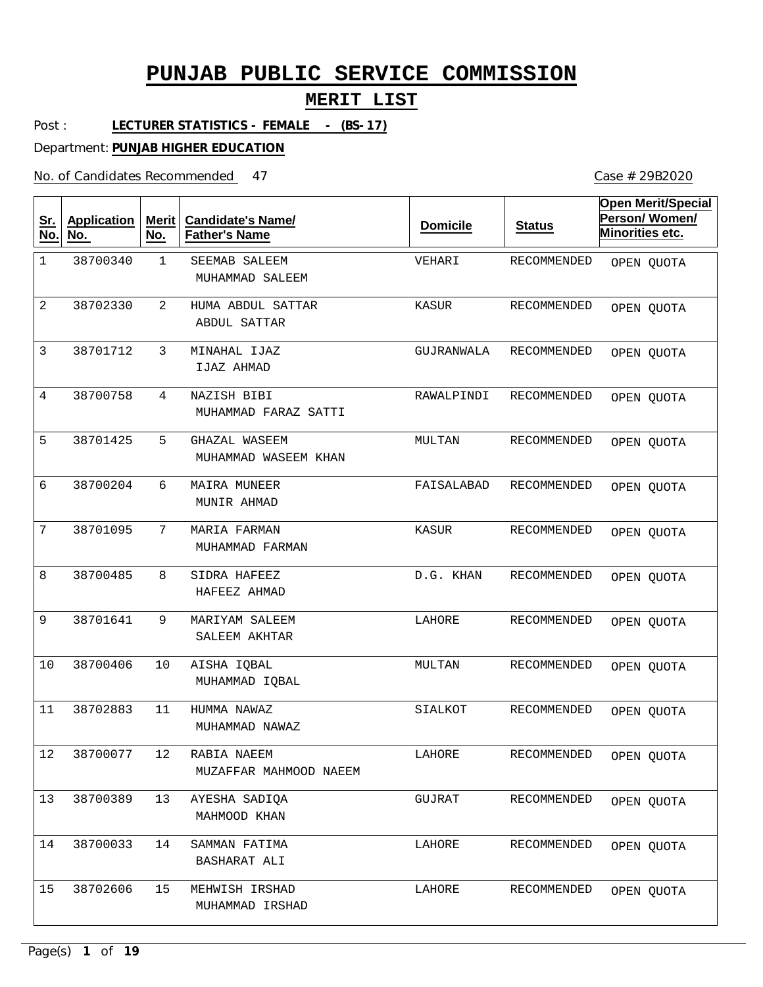### **MERIT LIST**

Post : **LECTURER STATISTICS - FEMALE - (BS-17)**

Department: **PUNJAB HIGHER EDUCATION**

No. of Candidates Recommended

| <u>Sr.</u><br>No. | <b>Application</b><br>No. | Merit<br>No. | <b>Candidate's Name/</b><br><b>Father's Name</b> | <b>Domicile</b> | <b>Status</b>      | <b>Open Merit/Special</b><br>Person/Women/<br>Minorities etc. |
|-------------------|---------------------------|--------------|--------------------------------------------------|-----------------|--------------------|---------------------------------------------------------------|
| $\mathbf 1$       | 38700340                  | $\mathbf 1$  | SEEMAB SALEEM<br>MUHAMMAD SALEEM                 | VEHARI          | <b>RECOMMENDED</b> | OPEN QUOTA                                                    |
| 2                 | 38702330                  | 2            | HUMA ABDUL SATTAR<br>ABDUL SATTAR                | KASUR           | RECOMMENDED        | OPEN QUOTA                                                    |
| 3                 | 38701712                  | 3            | MINAHAL IJAZ<br>IJAZ AHMAD                       | GUJRANWALA      | RECOMMENDED        | OPEN QUOTA                                                    |
| $\overline{4}$    | 38700758                  | 4            | NAZISH BIBI<br>MUHAMMAD FARAZ SATTI              | RAWALPINDI      | RECOMMENDED        | OPEN QUOTA                                                    |
| 5                 | 38701425                  | 5            | GHAZAL WASEEM<br>MUHAMMAD WASEEM KHAN            | MULTAN          | RECOMMENDED        | OPEN QUOTA                                                    |
| 6                 | 38700204                  | 6            | MAIRA MUNEER<br>MUNIR AHMAD                      | FAISALABAD      | RECOMMENDED        | OPEN QUOTA                                                    |
| 7                 | 38701095                  | 7            | MARIA FARMAN<br>MUHAMMAD FARMAN                  | KASUR           | RECOMMENDED        | OPEN QUOTA                                                    |
| 8                 | 38700485                  | 8            | SIDRA HAFEEZ<br>HAFEEZ AHMAD                     | D.G. KHAN       | RECOMMENDED        | OPEN QUOTA                                                    |
| 9                 | 38701641                  | 9            | MARIYAM SALEEM<br>SALEEM AKHTAR                  | LAHORE          | RECOMMENDED        | OPEN QUOTA                                                    |
| 10                | 38700406                  | 10           | AISHA IQBAL<br>MUHAMMAD IQBAL                    | MULTAN          | RECOMMENDED        | OPEN QUOTA                                                    |
| 11                | 38702883                  | 11           | HUMMA NAWAZ<br>MUHAMMAD NAWAZ                    | SIALKOT         | RECOMMENDED        | OPEN QUOTA                                                    |
| $12\,$            | 38700077                  | 12           | RABIA NAEEM<br>MUZAFFAR MAHMOOD NAEEM            | LAHORE          | RECOMMENDED        | OPEN QUOTA                                                    |
| 13                | 38700389                  | 13           | AYESHA SADIQA<br>MAHMOOD KHAN                    | GUJRAT          | RECOMMENDED        | OPEN QUOTA                                                    |
| 14                | 38700033                  | 14           | SAMMAN FATIMA<br>BASHARAT ALI                    | LAHORE          | RECOMMENDED        | OPEN QUOTA                                                    |
| 15                | 38702606                  | 15           | MEHWISH IRSHAD<br>MUHAMMAD IRSHAD                | LAHORE          | RECOMMENDED        | OPEN QUOTA                                                    |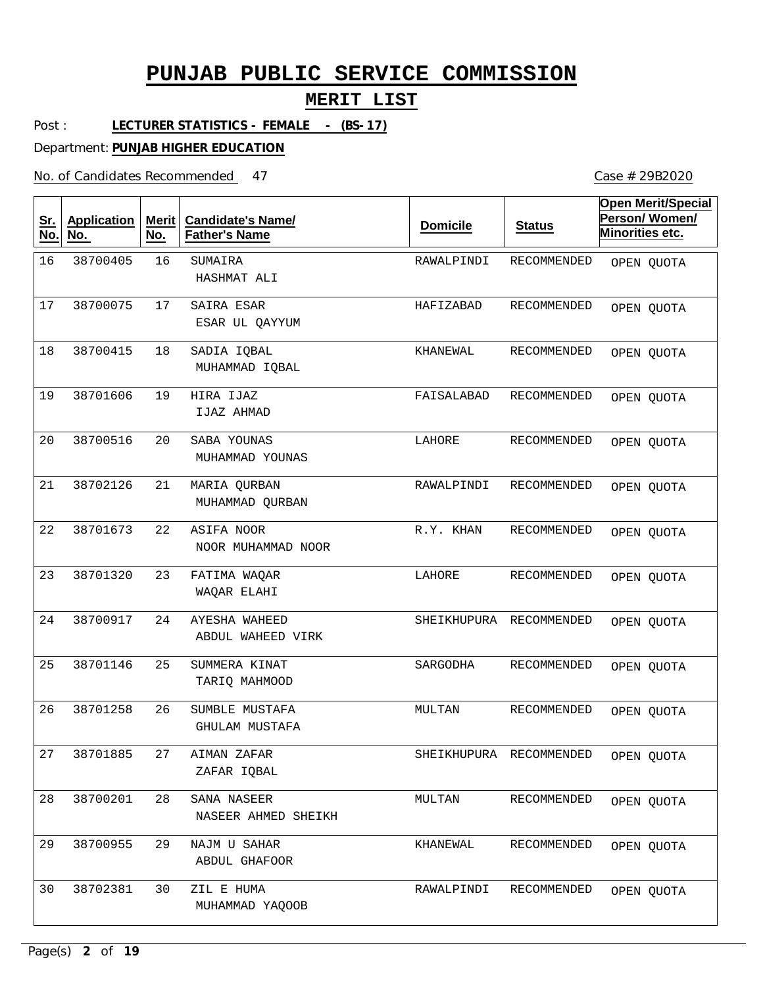### **MERIT LIST**

Post : **LECTURER STATISTICS - FEMALE - (BS-17)**

Department: **PUNJAB HIGHER EDUCATION**

| $4^{\texttt{-}}$ |  |  | $\cdots$<br>. |
|------------------|--|--|---------------|

| <u>Sr.</u><br>No. | <b>Application</b><br>No. | <b>Merit</b><br>No. | <b>Candidate's Name/</b><br><b>Father's Name</b> | <b>Domicile</b> | <b>Status</b>      | <b>Open Merit/Special</b><br>Person/Women/<br>Minorities etc. |
|-------------------|---------------------------|---------------------|--------------------------------------------------|-----------------|--------------------|---------------------------------------------------------------|
| 16                | 38700405                  | 16                  | SUMAIRA<br>HASHMAT ALI                           | RAWALPINDI      | RECOMMENDED        | OPEN QUOTA                                                    |
| 17                | 38700075                  | 17                  | SAIRA ESAR<br>ESAR UL QAYYUM                     | HAFIZABAD       | RECOMMENDED        | OPEN QUOTA                                                    |
| 18                | 38700415                  | 18                  | SADIA IQBAL<br>MUHAMMAD IQBAL                    | KHANEWAL        | RECOMMENDED        | OPEN QUOTA                                                    |
| 19                | 38701606                  | 19                  | HIRA IJAZ<br>IJAZ AHMAD                          | FAISALABAD      | RECOMMENDED        | OPEN QUOTA                                                    |
| 20                | 38700516                  | 20                  | SABA YOUNAS<br>MUHAMMAD YOUNAS                   | LAHORE          | RECOMMENDED        | OPEN QUOTA                                                    |
| 21                | 38702126                  | 21                  | MARIA QURBAN<br>MUHAMMAD QURBAN                  | RAWALPINDI      | <b>RECOMMENDED</b> | OPEN QUOTA                                                    |
| 22                | 38701673                  | 22                  | ASIFA NOOR<br>NOOR MUHAMMAD NOOR                 | R.Y. KHAN       | RECOMMENDED        | OPEN QUOTA                                                    |
| 23                | 38701320                  | 23                  | FATIMA WAQAR<br>WAQAR ELAHI                      | LAHORE          | RECOMMENDED        | OPEN QUOTA                                                    |
| 24                | 38700917                  | 24                  | AYESHA WAHEED<br>ABDUL WAHEED VIRK               | SHEIKHUPURA     | RECOMMENDED        | OPEN QUOTA                                                    |
| 25                | 38701146                  | 25                  | SUMMERA KINAT<br>TARIO MAHMOOD                   | SARGODHA        | RECOMMENDED        | OPEN QUOTA                                                    |
| 26                | 38701258                  | 26                  | SUMBLE MUSTAFA<br>GHULAM MUSTAFA                 | MULTAN          | RECOMMENDED        | OPEN QUOTA                                                    |
| 27                | 38701885                  | 27                  | AIMAN ZAFAR<br>ZAFAR IOBAL                       | SHEIKHUPURA     | RECOMMENDED        | OPEN QUOTA                                                    |
| 28                | 38700201                  | 28                  | SANA NASEER<br>NASEER AHMED SHEIKH               | MULTAN          | RECOMMENDED        | OPEN QUOTA                                                    |
| 29                | 38700955                  | 29                  | NAJM U SAHAR<br>ABDUL GHAFOOR                    | KHANEWAL        | RECOMMENDED        | OPEN QUOTA                                                    |
| 30                | 38702381                  | 30                  | ZIL E HUMA<br>MUHAMMAD YAQOOB                    | RAWALPINDI      | RECOMMENDED        | OPEN QUOTA                                                    |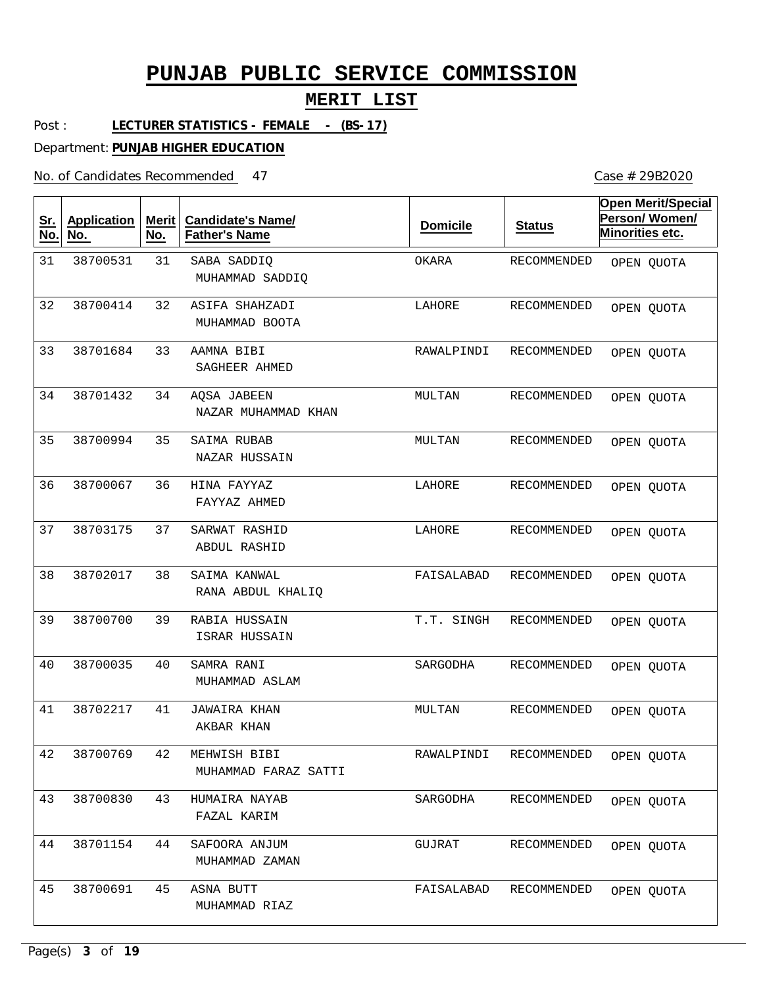#### **MERIT LIST**

Post : **LECTURER STATISTICS - FEMALE - (BS-17)**

Department: **PUNJAB HIGHER EDUCATION**

No. of Candidates Recommended

| <u>Sr.</u><br>No. | <b>Application</b><br>No. | <b>Merit</b><br>No. | <b>Candidate's Name/</b><br><b>Father's Name</b> | <b>Domicile</b> | <b>Status</b>      | <b>Open Merit/Special</b><br>Person/Women/<br>Minorities etc. |
|-------------------|---------------------------|---------------------|--------------------------------------------------|-----------------|--------------------|---------------------------------------------------------------|
| 31                | 38700531                  | 31                  | SABA SADDIQ<br>MUHAMMAD SADDIQ                   | OKARA           | RECOMMENDED        | OPEN QUOTA                                                    |
| 32                | 38700414                  | 32                  | ASIFA SHAHZADI<br>MUHAMMAD BOOTA                 | LAHORE          | RECOMMENDED        | OPEN QUOTA                                                    |
| 33                | 38701684                  | 33                  | AAMNA BIBI<br>SAGHEER AHMED                      | RAWALPINDI      | RECOMMENDED        | OPEN QUOTA                                                    |
| 34                | 38701432                  | 34                  | AQSA JABEEN<br>NAZAR MUHAMMAD KHAN               | MULTAN          | RECOMMENDED        | OPEN QUOTA                                                    |
| 35                | 38700994                  | 35                  | SAIMA RUBAB<br>NAZAR HUSSAIN                     | MULTAN          | <b>RECOMMENDED</b> | OPEN QUOTA                                                    |
| 36                | 38700067                  | 36                  | HINA FAYYAZ<br>FAYYAZ AHMED                      | LAHORE          | <b>RECOMMENDED</b> | OPEN QUOTA                                                    |
| 37                | 38703175                  | 37                  | SARWAT RASHID<br>ABDUL RASHID                    | LAHORE          | <b>RECOMMENDED</b> | OPEN QUOTA                                                    |
| 38                | 38702017                  | 38                  | SAIMA KANWAL<br>RANA ABDUL KHALIQ                | FAISALABAD      | RECOMMENDED        | OPEN QUOTA                                                    |
| 39                | 38700700                  | 39                  | RABIA HUSSAIN<br>ISRAR HUSSAIN                   | T.T. SINGH      | RECOMMENDED        | OPEN QUOTA                                                    |
| 40                | 38700035                  | 40                  | SAMRA RANI<br>MUHAMMAD ASLAM                     | SARGODHA        | RECOMMENDED        | OPEN QUOTA                                                    |
| 41                | 38702217                  | 41                  | <b>JAWAIRA KHAN</b><br>AKBAR KHAN                | MULTAN          | RECOMMENDED        | OPEN QUOTA                                                    |
| 42                | 38700769                  | 42                  | MEHWISH BIBI<br>MUHAMMAD FARAZ SATTI             | RAWALPINDI      | RECOMMENDED        | OPEN QUOTA                                                    |
| 43                | 38700830                  | 43                  | HUMAIRA NAYAB<br>FAZAL KARIM                     | SARGODHA        | RECOMMENDED        | OPEN QUOTA                                                    |
| 44                | 38701154                  | 44                  | SAFOORA ANJUM<br>MUHAMMAD ZAMAN                  | GUJRAT          | RECOMMENDED        | OPEN QUOTA                                                    |
| 45                | 38700691                  | 45                  | ASNA BUTT<br>MUHAMMAD RIAZ                       | FAISALABAD      | RECOMMENDED        | OPEN QUOTA                                                    |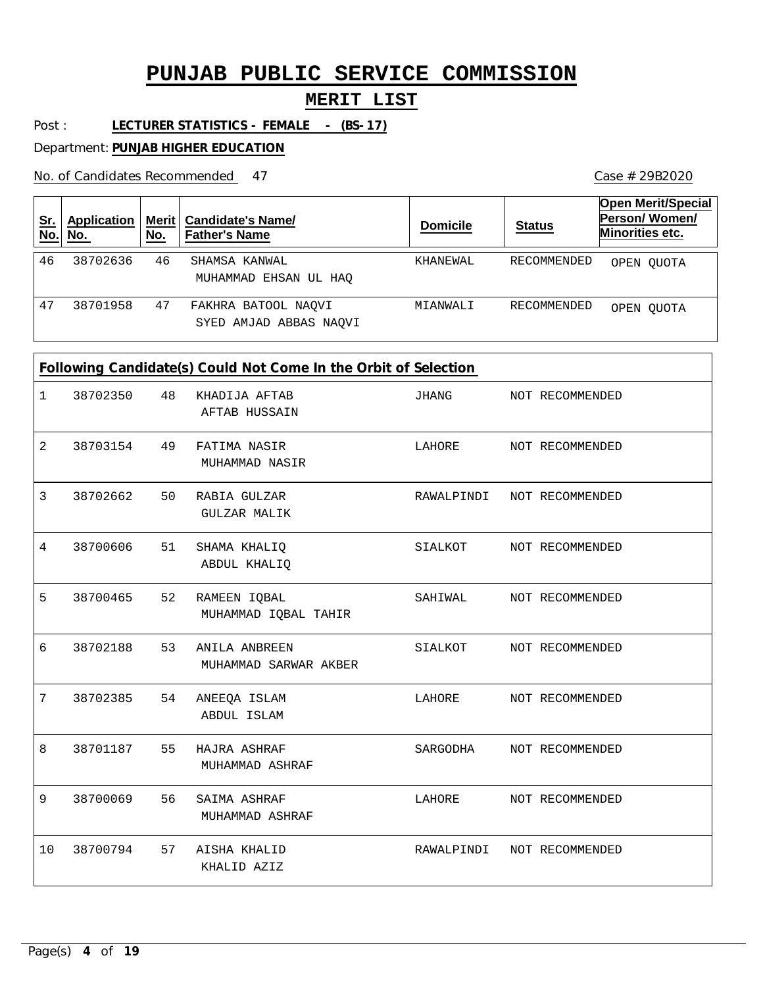### **MERIT LIST**

Post : **LECTURER STATISTICS - FEMALE - (BS-17)**

Department: **PUNJAB HIGHER EDUCATION**

No. of Candidates Recommended

| Sr.<br>No. | Application<br>No. | No. | Merit   Candidate's Name/<br><b>Father's Name</b> | <b>Domicile</b> | <b>Status</b> | <b>Open Merit/Special</b><br>Person/Women/<br>Minorities etc. |
|------------|--------------------|-----|---------------------------------------------------|-----------------|---------------|---------------------------------------------------------------|
| 46         | 38702636           | 46  | SHAMSA KANWAL<br>MUHAMMAD EHSAN UL HAO            | KHANEWAL        | RECOMMENDED   | OPEN OUOTA                                                    |
| 47         | 38701958           | 47  | FAKHRA BATOOL NAQVI<br>SYED AMJAD ABBAS NAOVI     | MIANWALI        | RECOMMENDED   | OPEN OUOTA                                                    |

|  | Following Candidate(s) Could Not Come In the Orbit of Selection |  |  |
|--|-----------------------------------------------------------------|--|--|
|--|-----------------------------------------------------------------|--|--|

| $\mathbf{1}$   | 38702350 | 48 | KHADIJA AFTAB<br>AFTAB HUSSAIN         | JHANG                      | NOT RECOMMENDED |
|----------------|----------|----|----------------------------------------|----------------------------|-----------------|
| $\overline{2}$ | 38703154 | 49 | FATIMA NASIR<br>MUHAMMAD NASIR         | LAHORE                     | NOT RECOMMENDED |
| 3              | 38702662 | 50 | RABIA GULZAR<br><b>GULZAR MALIK</b>    | RAWALPINDI                 | NOT RECOMMENDED |
| $\overline{4}$ | 38700606 | 51 | SHAMA KHALIQ<br>ABDUL KHALIQ           | SIALKOT                    | NOT RECOMMENDED |
| 5              | 38700465 | 52 | RAMEEN IQBAL<br>MUHAMMAD IQBAL TAHIR   | SAHIWAL                    | NOT RECOMMENDED |
| 6              | 38702188 | 53 | ANILA ANBREEN<br>MUHAMMAD SARWAR AKBER | SIALKOT                    | NOT RECOMMENDED |
| 7              | 38702385 | 54 | ANEEQA ISLAM<br>ABDUL ISLAM            | LAHORE                     | NOT RECOMMENDED |
| 8              | 38701187 | 55 | HAJRA ASHRAF<br>MUHAMMAD ASHRAF        | SARGODHA                   | NOT RECOMMENDED |
| 9              | 38700069 | 56 | SAIMA ASHRAF<br>MUHAMMAD ASHRAF        | LAHORE                     | NOT RECOMMENDED |
| 10             | 38700794 | 57 | AISHA KHALID<br>KHALID AZIZ            | RAWALPINDI NOT RECOMMENDED |                 |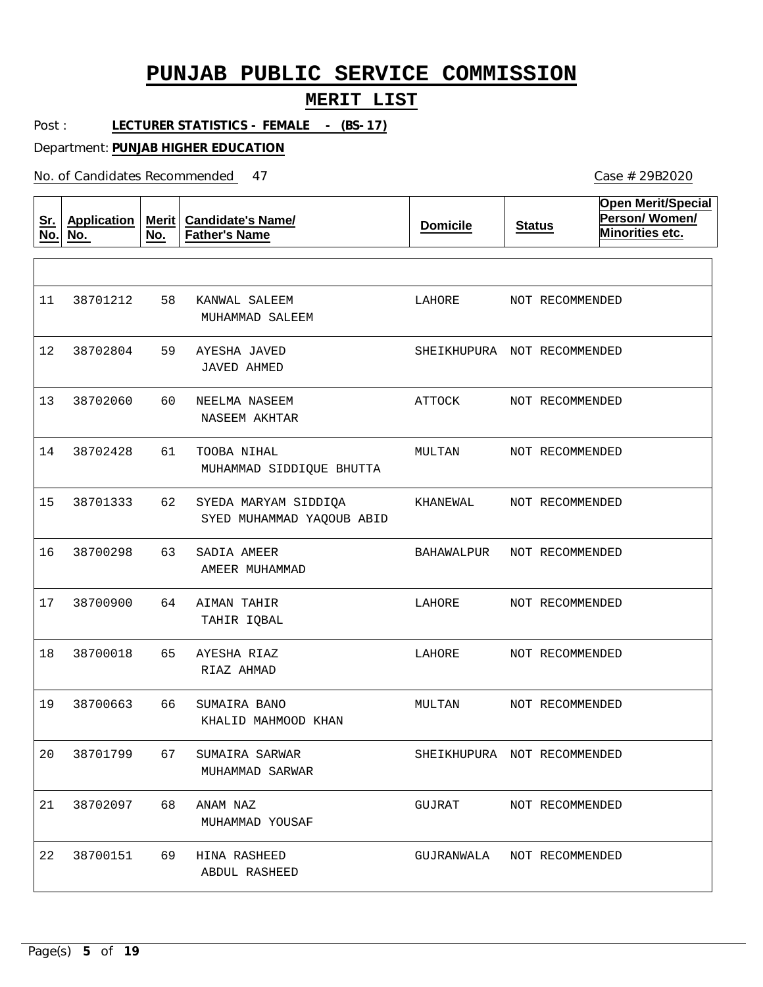#### **MERIT LIST**

Post : **LECTURER STATISTICS - FEMALE - (BS-17)**

Department: **PUNJAB HIGHER EDUCATION**

No. of Candidates Recommended

| <u>Sr.</u><br>No. | <b>Application</b><br>No. | <b>Merit</b><br>No. | <b>Candidate's Name/</b><br><b>Father's Name</b>  | <b>Domicile</b>             | <b>Status</b>   | <b>Open Merit/Special</b><br>Person/Women/<br>Minorities etc. |
|-------------------|---------------------------|---------------------|---------------------------------------------------|-----------------------------|-----------------|---------------------------------------------------------------|
|                   |                           |                     |                                                   |                             |                 |                                                               |
| 11                | 38701212                  | 58                  | KANWAL SALEEM<br>MUHAMMAD SALEEM                  | LAHORE                      | NOT RECOMMENDED |                                                               |
| 12                | 38702804                  | 59                  | AYESHA JAVED<br>JAVED AHMED                       | SHEIKHUPURA NOT RECOMMENDED |                 |                                                               |
| 13                | 38702060                  | 60                  | NEELMA NASEEM<br>NASEEM AKHTAR                    | ATTOCK                      | NOT RECOMMENDED |                                                               |
| 14                | 38702428                  | 61                  | TOOBA NIHAL<br>MUHAMMAD SIDDIQUE BHUTTA           | MULTAN                      | NOT RECOMMENDED |                                                               |
| 15                | 38701333                  | 62                  | SYEDA MARYAM SIDDIQA<br>SYED MUHAMMAD YAQOUB ABID | KHANEWAL                    | NOT RECOMMENDED |                                                               |
| 16                | 38700298                  | 63                  | SADIA AMEER<br>AMEER MUHAMMAD                     | BAHAWALPUR                  | NOT RECOMMENDED |                                                               |
| 17                | 38700900                  | 64                  | AIMAN TAHIR<br>TAHIR IQBAL                        | LAHORE                      | NOT RECOMMENDED |                                                               |
| 18                | 38700018                  | 65                  | AYESHA RIAZ<br>RIAZ AHMAD                         | LAHORE                      | NOT RECOMMENDED |                                                               |
| 19                | 38700663                  | 66                  | SUMAIRA BANO<br>KHALID MAHMOOD KHAN               | MULTAN                      | NOT RECOMMENDED |                                                               |
| 20                | 38701799                  | 67                  | SUMAIRA SARWAR<br>MUHAMMAD SARWAR                 | SHEIKHUPURA NOT RECOMMENDED |                 |                                                               |
| 21                | 38702097                  | 68                  | ANAM NAZ<br>MUHAMMAD YOUSAF                       | GUJRAT                      | NOT RECOMMENDED |                                                               |
| 22                | 38700151                  | 69                  | HINA RASHEED<br>ABDUL RASHEED                     | GUJRANWALA                  | NOT RECOMMENDED |                                                               |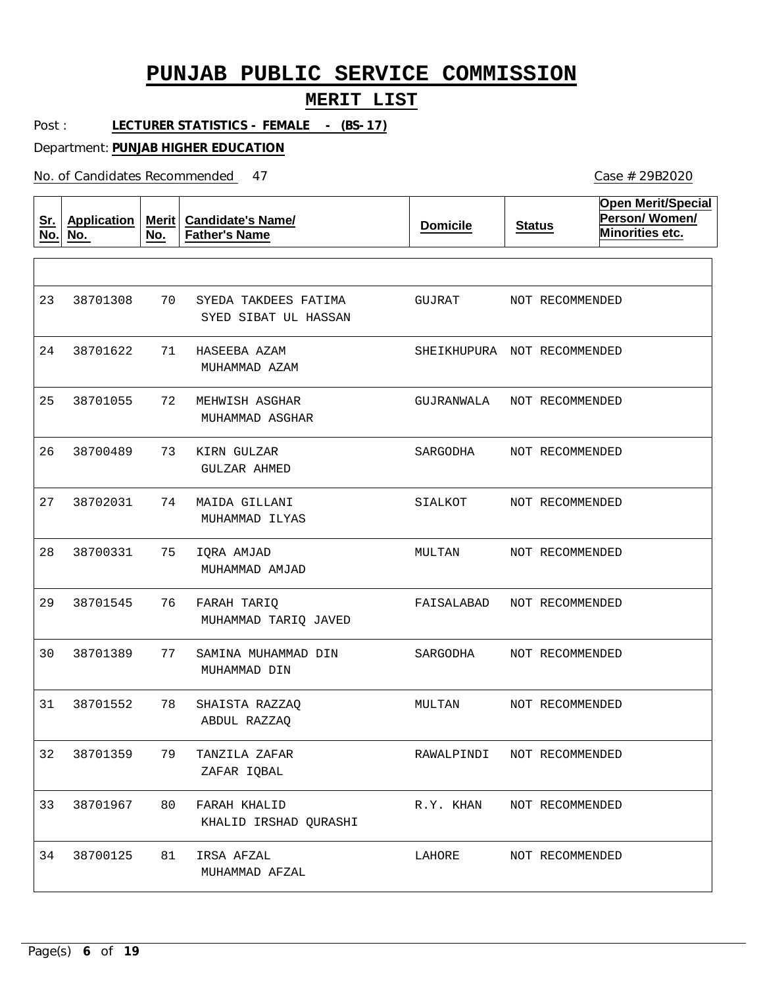#### **MERIT LIST**

Post : LECTURER STATISTICS - FEMALE - (BS-17)

Department: **PUNJAB HIGHER EDUCATION**

No. of Candidates Recommended

**Sr. No. Application No. Merit No. Candidate's Name/ Father's Name Domicile Status Open Merit/Special Person/ Women/ Minorities etc.** 70 71 HASEEBA AZAM 72 73 KIRN GULZAR 74 MAIDA GILLANI 75 76 77 78 79 80 FARAH KHALID 81 SYEDA TAKDEES FATIMA MEHWISH ASGHAR IQRA AMJAD FARAH TARIQ SAMINA MUHAMMAD DIN SHAISTA RAZZAQ TANZILA ZAFAR IRSA AFZAL SYED SIBAT UL HASSAN MUHAMMAD AZAM MUHAMMAD ASGHAR GULZAR AHMED MUHAMMAD ILYAS MUHAMMAD AMJAD MUHAMMAD TARIQ JAVED MUHAMMAD DIN ABDUL RAZZAQ ZAFAR IQBAL KHALID IRSHAD QURASHI MUHAMMAD AFZAL 23 24 38701622 25 26 27 28 29 30 31 32 38701359 33 38701967 34 38701308 38701055 38700489 38702031 38700331 38701545 38701389 38701552 38700125 GUJRAT SHEIKHUPURA NOT RECOMMENDED GUJRANWALA SARGODHA SIALKOT MULTAN FAISALABAD NOT RECOMMENDED SARGODHA MULTAN RAWALPINDI R.Y. KHAN LAHORE NOT RECOMMENDED NOT RECOMMENDED NOT RECOMMENDED NOT RECOMMENDED NOT RECOMMENDED NOT RECOMMENDED NOT RECOMMENDED NOT RECOMMENDED NOT RECOMMENDED NOT RECOMMENDED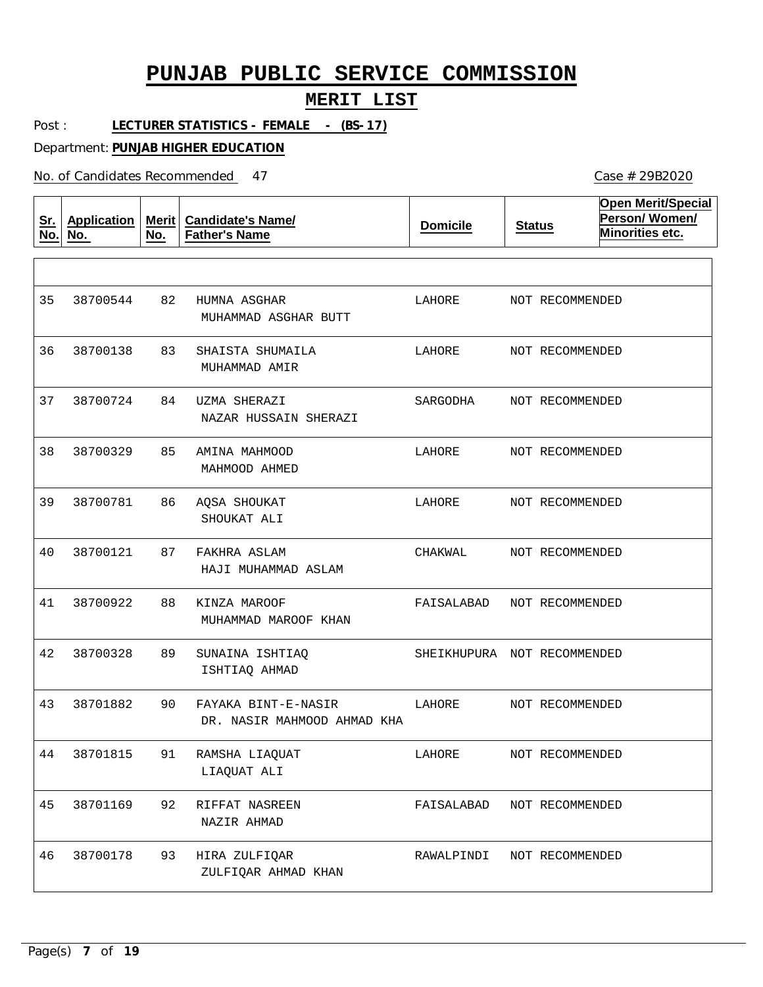#### **MERIT LIST**

Post : **LECTURER STATISTICS - FEMALE - (BS-17)**

Department: **PUNJAB HIGHER EDUCATION**

| <u>Sr.</u><br>No. | <b>Application</b><br>No. | Merit<br>No. | <b>Candidate's Name/</b><br><b>Father's Name</b>   | <b>Domicile</b> | <b>Status</b>               | <b>Open Merit/Special</b><br>Person/Women/<br>Minorities etc. |
|-------------------|---------------------------|--------------|----------------------------------------------------|-----------------|-----------------------------|---------------------------------------------------------------|
|                   |                           |              |                                                    |                 |                             |                                                               |
| 35                | 38700544                  | 82           | HUMNA ASGHAR<br>MUHAMMAD ASGHAR BUTT               | LAHORE          | NOT RECOMMENDED             |                                                               |
| 36                | 38700138                  | 83           | SHAISTA SHUMAILA<br>MUHAMMAD AMIR                  | LAHORE          | NOT RECOMMENDED             |                                                               |
| 37                | 38700724                  | 84           | UZMA SHERAZI<br>NAZAR HUSSAIN SHERAZI              | SARGODHA        | NOT RECOMMENDED             |                                                               |
| 38                | 38700329                  | 85           | AMINA MAHMOOD<br>MAHMOOD AHMED                     | LAHORE          | NOT RECOMMENDED             |                                                               |
| 39                | 38700781                  | 86           | AQSA SHOUKAT<br>SHOUKAT ALI                        | LAHORE          | NOT RECOMMENDED             |                                                               |
| 40                | 38700121                  | 87           | FAKHRA ASLAM<br>HAJI MUHAMMAD ASLAM                | CHAKWAL         | NOT RECOMMENDED             |                                                               |
| 41                | 38700922                  | 88           | KINZA MAROOF<br>MUHAMMAD MAROOF KHAN               | FAISALABAD      | NOT RECOMMENDED             |                                                               |
| 42                | 38700328                  | 89           | SUNAINA ISHTIAQ<br>ISHTIAQ AHMAD                   |                 | SHEIKHUPURA NOT RECOMMENDED |                                                               |
| 43                | 38701882                  | 90           | FAYAKA BINT-E-NASIR<br>DR. NASIR MAHMOOD AHMAD KHA | LAHORE          | NOT RECOMMENDED             |                                                               |
| 44                | 38701815                  | 91           | RAMSHA LIAQUAT<br>LIAQUAT ALI                      | LAHORE          | NOT RECOMMENDED             |                                                               |
| 45                | 38701169                  | 92           | RIFFAT NASREEN<br>NAZIR AHMAD                      | FAISALABAD      | NOT RECOMMENDED             |                                                               |
| 46                | 38700178                  | 93           | HIRA ZULFIQAR<br>ZULFIQAR AHMAD KHAN               | RAWALPINDI      | NOT RECOMMENDED             |                                                               |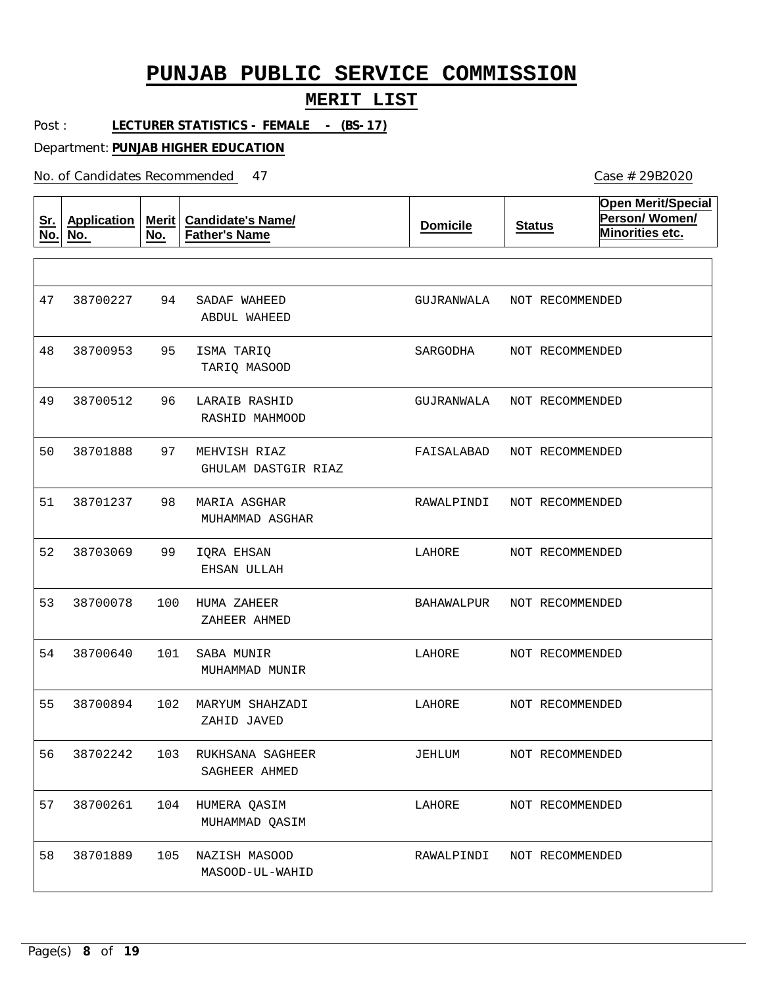#### **MERIT LIST**

Case # 29B2020

Post : **LECTURER STATISTICS - FEMALE - (BS-17)**

Department: **PUNJAB HIGHER EDUCATION**

| <u>Sr.</u><br>No. | <b>Application</b><br>No. | Merit<br>No. | <b>Candidate's Name/</b><br><b>Father's Name</b> | <b>Domicile</b> | <b>Status</b>   | <b>Open Merit/Special</b><br>Person/Women/<br>Minorities etc. |
|-------------------|---------------------------|--------------|--------------------------------------------------|-----------------|-----------------|---------------------------------------------------------------|
|                   |                           |              |                                                  |                 |                 |                                                               |
| 47                | 38700227                  | 94           | SADAF WAHEED<br>ABDUL WAHEED                     | GUJRANWALA      | NOT RECOMMENDED |                                                               |
| 48                | 38700953                  | 95           | ISMA TARIQ<br>TARIQ MASOOD                       | SARGODHA        | NOT RECOMMENDED |                                                               |
| 49                | 38700512                  | 96           | LARAIB RASHID<br>RASHID MAHMOOD                  | GUJRANWALA      | NOT RECOMMENDED |                                                               |
| 50                | 38701888                  | 97           | MEHVISH RIAZ<br>GHULAM DASTGIR RIAZ              | FAISALABAD      | NOT RECOMMENDED |                                                               |
| 51                | 38701237                  | 98           | MARIA ASGHAR<br>MUHAMMAD ASGHAR                  | RAWALPINDI      | NOT RECOMMENDED |                                                               |
| 52                | 38703069                  | 99           | IQRA EHSAN<br>EHSAN ULLAH                        | LAHORE          | NOT RECOMMENDED |                                                               |
| 53                | 38700078                  | 100          | HUMA ZAHEER<br>ZAHEER AHMED                      | BAHAWALPUR      | NOT RECOMMENDED |                                                               |
| 54                | 38700640                  | 101          | SABA MUNIR<br>MUHAMMAD MUNIR                     | LAHORE          | NOT RECOMMENDED |                                                               |
| 55                | 38700894                  | 102          | MARYUM SHAHZADI<br>ZAHID JAVED                   | LAHORE          | NOT RECOMMENDED |                                                               |
| 56                | 38702242                  | 103          | RUKHSANA SAGHEER<br>SAGHEER AHMED                | JEHLUM          | NOT RECOMMENDED |                                                               |
| 57                | 38700261                  | 104          | HUMERA QASIM<br>MUHAMMAD QASIM                   | LAHORE          | NOT RECOMMENDED |                                                               |
| 58                | 38701889                  | 105          | NAZISH MASOOD<br>MASOOD-UL-WAHID                 | RAWALPINDI      | NOT RECOMMENDED |                                                               |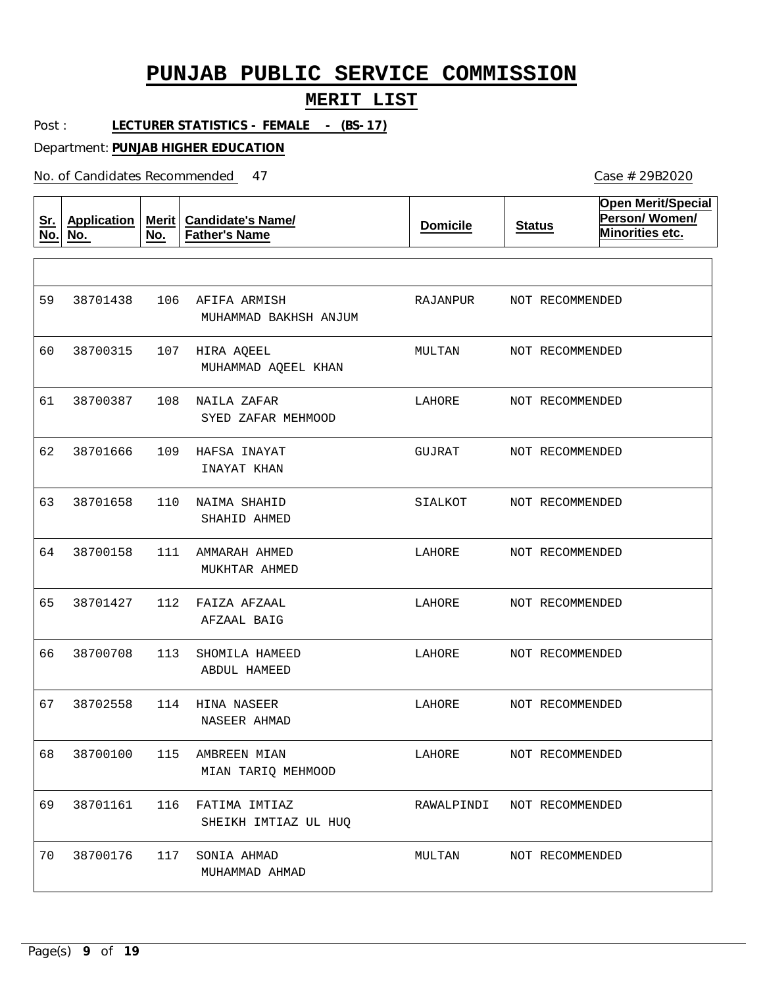#### **MERIT LIST**

Post : **LECTURER STATISTICS - FEMALE - (BS-17)**

Department: **PUNJAB HIGHER EDUCATION**

| <u>Sr.</u><br>No. | <b>Application</b><br>No. | <b>Merit</b><br>No. | <b>Candidate's Name/</b><br><b>Father's Name</b> | <b>Domicile</b> | <b>Status</b>   | <b>Open Merit/Special</b><br>Person/Women/<br>Minorities etc. |
|-------------------|---------------------------|---------------------|--------------------------------------------------|-----------------|-----------------|---------------------------------------------------------------|
|                   |                           |                     |                                                  |                 |                 |                                                               |
| 59                | 38701438                  | 106                 | AFIFA ARMISH<br>MUHAMMAD BAKHSH ANJUM            | RAJANPUR        | NOT RECOMMENDED |                                                               |
| 60                | 38700315                  | 107                 | HIRA AQEEL<br>MUHAMMAD AQEEL KHAN                | MULTAN          | NOT RECOMMENDED |                                                               |
| 61                | 38700387                  | 108                 | NAILA ZAFAR<br>SYED ZAFAR MEHMOOD                | LAHORE          | NOT RECOMMENDED |                                                               |
| 62                | 38701666                  | 109                 | HAFSA INAYAT<br>INAYAT KHAN                      | GUJRAT          | NOT RECOMMENDED |                                                               |
| 63                | 38701658                  | 110                 | NAIMA SHAHID<br>SHAHID AHMED                     | SIALKOT         | NOT RECOMMENDED |                                                               |
| 64                | 38700158                  | 111                 | AMMARAH AHMED<br>MUKHTAR AHMED                   | LAHORE          | NOT RECOMMENDED |                                                               |
| 65                | 38701427                  | 112                 | FAIZA AFZAAL<br>AFZAAL BAIG                      | LAHORE          | NOT RECOMMENDED |                                                               |
| 66                | 38700708                  | 113                 | SHOMILA HAMEED<br>ABDUL HAMEED                   | LAHORE          | NOT RECOMMENDED |                                                               |
| 67                | 38702558                  | 114                 | HINA NASEER<br>NASEER AHMAD                      | LAHORE          | NOT RECOMMENDED |                                                               |
| 68                | 38700100                  | 115                 | AMBREEN MIAN<br>MIAN TARIO MEHMOOD               | LAHORE          | NOT RECOMMENDED |                                                               |
| 69                | 38701161                  | 116                 | FATIMA IMTIAZ<br>SHEIKH IMTIAZ UL HUO            | RAWALPINDI      | NOT RECOMMENDED |                                                               |
| 70                | 38700176                  | 117                 | SONIA AHMAD<br>MUHAMMAD AHMAD                    | MULTAN          | NOT RECOMMENDED |                                                               |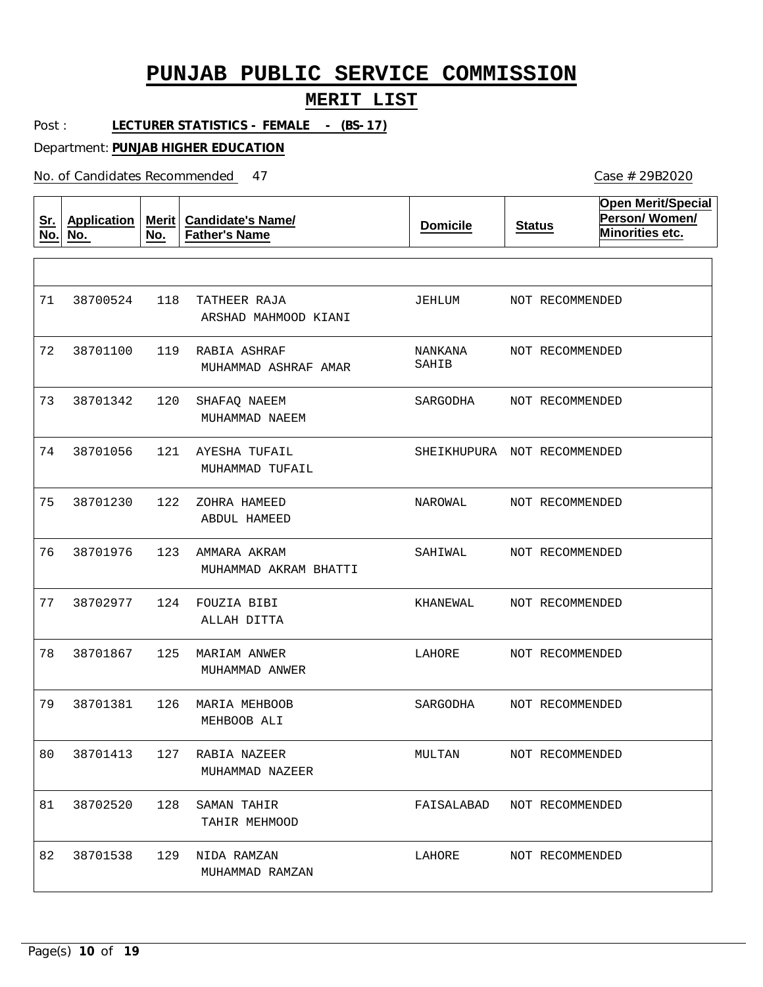#### **MERIT LIST**

Post : **LECTURER STATISTICS - FEMALE - (BS-17)**

Department: **PUNJAB HIGHER EDUCATION**

| <u>Sr.</u><br>No. | <b>Application</b><br>No. | <b>Merit</b><br>No. | <b>Candidate's Name/</b><br><b>Father's Name</b> | <b>Domicile</b>             | <b>Status</b>   | <b>Open Merit/Special</b><br>Person/Women/<br>Minorities etc. |
|-------------------|---------------------------|---------------------|--------------------------------------------------|-----------------------------|-----------------|---------------------------------------------------------------|
|                   |                           |                     |                                                  |                             |                 |                                                               |
| 71                | 38700524                  | 118                 | TATHEER RAJA<br>ARSHAD MAHMOOD KIANI             | JEHLUM                      | NOT RECOMMENDED |                                                               |
| 72                | 38701100                  | 119                 | RABIA ASHRAF<br>MUHAMMAD ASHRAF AMAR             | NANKANA<br>SAHIB            | NOT RECOMMENDED |                                                               |
| 73                | 38701342                  | 120                 | SHAFAQ NAEEM<br>MUHAMMAD NAEEM                   | SARGODHA                    | NOT RECOMMENDED |                                                               |
| 74                | 38701056                  | 121                 | AYESHA TUFAIL<br>MUHAMMAD TUFAIL                 | SHEIKHUPURA NOT RECOMMENDED |                 |                                                               |
| 75                | 38701230                  | 122                 | ZOHRA HAMEED<br>ABDUL HAMEED                     | NAROWAL                     | NOT RECOMMENDED |                                                               |
| 76                | 38701976                  | 123                 | AMMARA AKRAM<br>MUHAMMAD AKRAM BHATTI            | SAHIWAL                     | NOT RECOMMENDED |                                                               |
| 77                | 38702977                  | 124                 | FOUZIA BIBI<br>ALLAH DITTA                       | KHANEWAL                    | NOT RECOMMENDED |                                                               |
| 78                | 38701867                  | 125                 | MARIAM ANWER<br>MUHAMMAD ANWER                   | LAHORE                      | NOT RECOMMENDED |                                                               |
| 79                | 38701381                  | 126                 | MARIA MEHBOOB<br>MEHBOOB ALI                     | SARGODHA                    | NOT RECOMMENDED |                                                               |
| 80                | 38701413                  | 127                 | RABIA NAZEER<br>MUHAMMAD NAZEER                  | MULTAN                      | NOT RECOMMENDED |                                                               |
| 81                | 38702520                  | 128                 | SAMAN TAHIR<br>TAHIR MEHMOOD                     | FAISALABAD                  | NOT RECOMMENDED |                                                               |
| 82                | 38701538                  | 129                 | NIDA RAMZAN<br>MUHAMMAD RAMZAN                   | LAHORE                      | NOT RECOMMENDED |                                                               |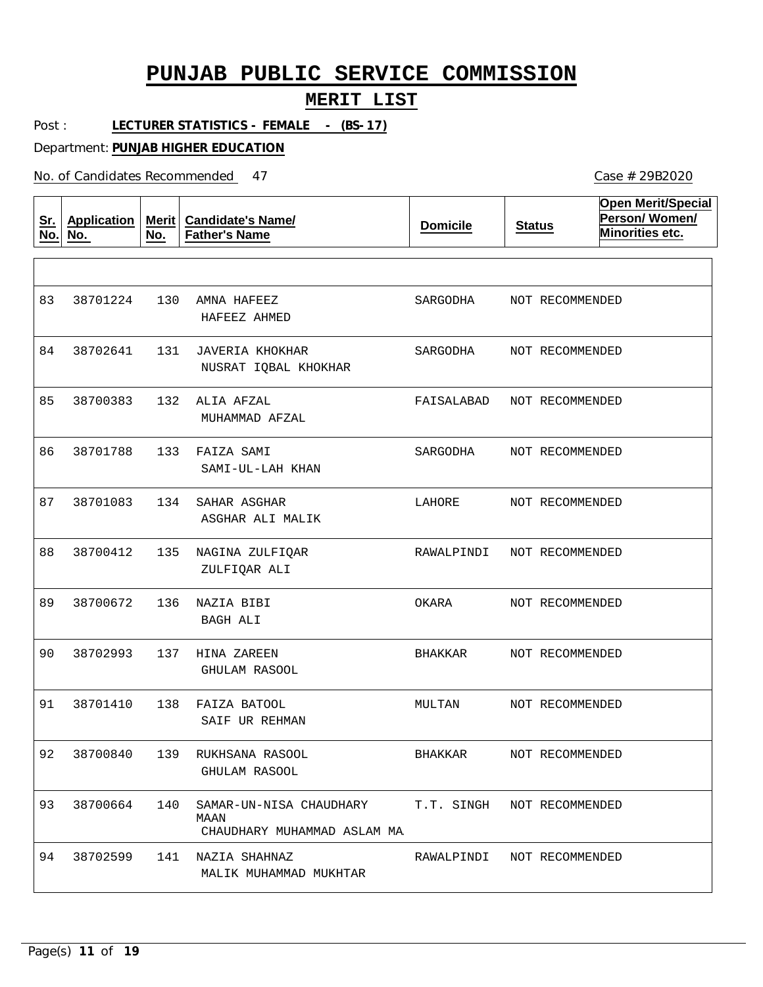#### **MERIT LIST**

Post : **LECTURER STATISTICS - FEMALE - (BS-17)**

Department: **PUNJAB HIGHER EDUCATION**

No. of Candidates Recommended

| <u>Sr.</u><br>No. | <b>Application</b><br>No. | <b>Merit</b><br>No. | <b>Candidate's Name/</b><br><b>Father's Name</b>               | <b>Domicile</b> | <b>Status</b>   | <b>Open Merit/Special</b><br>Person/Women/<br>Minorities etc. |
|-------------------|---------------------------|---------------------|----------------------------------------------------------------|-----------------|-----------------|---------------------------------------------------------------|
|                   |                           |                     |                                                                |                 |                 |                                                               |
| 83                | 38701224                  | 130                 | AMNA HAFEEZ<br>HAFEEZ AHMED                                    | SARGODHA        | NOT RECOMMENDED |                                                               |
| 84                | 38702641                  | 131                 | JAVERIA KHOKHAR<br>NUSRAT IQBAL KHOKHAR                        | SARGODHA        | NOT RECOMMENDED |                                                               |
| 85                | 38700383                  | 132                 | ALIA AFZAL<br>MUHAMMAD AFZAL                                   | FAISALABAD      | NOT RECOMMENDED |                                                               |
| 86                | 38701788                  | 133                 | FAIZA SAMI<br>SAMI-UL-LAH KHAN                                 | SARGODHA        | NOT RECOMMENDED |                                                               |
| 87                | 38701083                  | 134                 | SAHAR ASGHAR<br>ASGHAR ALI MALIK                               | LAHORE          | NOT RECOMMENDED |                                                               |
| 88                | 38700412                  | 135                 | NAGINA ZULFIQAR<br>ZULFIQAR ALI                                | RAWALPINDI      | NOT RECOMMENDED |                                                               |
| 89                | 38700672                  | 136                 | NAZIA BIBI<br>BAGH ALI                                         | OKARA           | NOT RECOMMENDED |                                                               |
| 90                | 38702993                  | 137                 | HINA ZAREEN<br>GHULAM RASOOL                                   | BHAKKAR         | NOT RECOMMENDED |                                                               |
| 91                | 38701410                  | 138                 | FAIZA BATOOL<br>SAIF UR REHMAN                                 | MULTAN          | NOT RECOMMENDED |                                                               |
| 92                | 38700840                  | 139                 | RUKHSANA RASOOL<br>GHULAM RASOOL                               | <b>BHAKKAR</b>  | NOT RECOMMENDED |                                                               |
| 93                | 38700664                  | 140                 | SAMAR-UN-NISA CHAUDHARY<br>MAAN<br>CHAUDHARY MUHAMMAD ASLAM MA | T.T. SINGH      | NOT RECOMMENDED |                                                               |
| 94                | 38702599                  | 141                 | NAZIA SHAHNAZ<br>MALIK MUHAMMAD MUKHTAR                        | RAWALPINDI      | NOT RECOMMENDED |                                                               |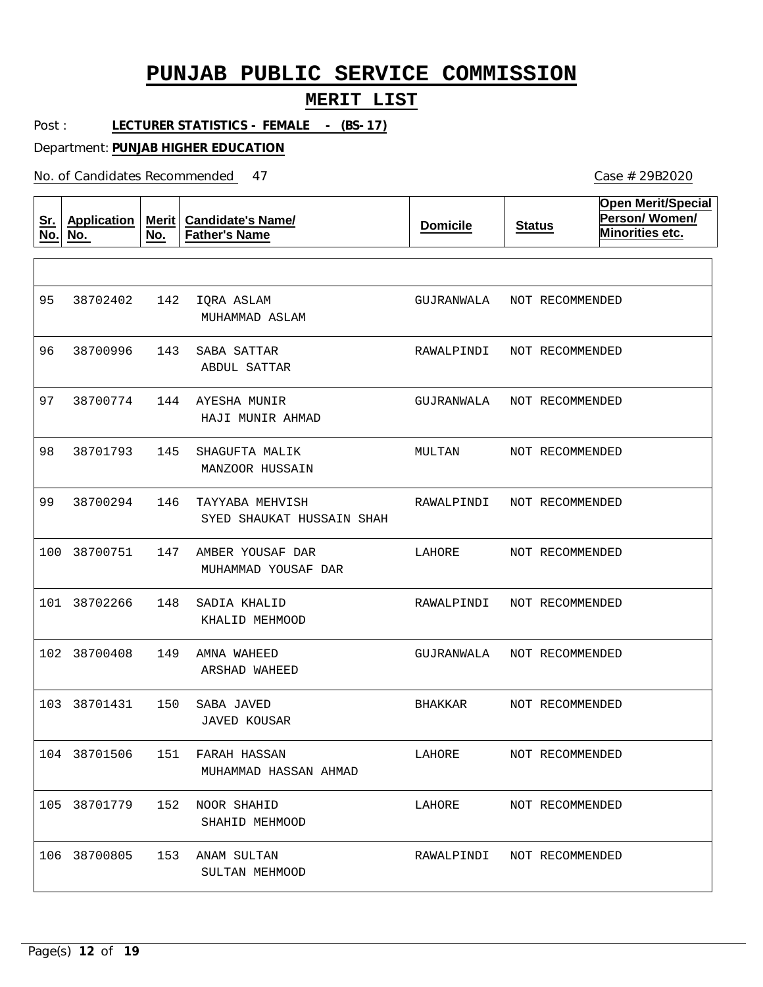#### **MERIT LIST**

Case # 29B2020

Post : **LECTURER STATISTICS - FEMALE - (BS-17)**

Department: **PUNJAB HIGHER EDUCATION**

| <u>Sr.</u><br>No. | <b>Application</b><br>No. | <b>Merit</b><br>No. | <b>Candidate's Name/</b><br><b>Father's Name</b> | <b>Domicile</b> | <b>Status</b>   | <b>Open Merit/Special</b><br>Person/Women/<br>Minorities etc. |
|-------------------|---------------------------|---------------------|--------------------------------------------------|-----------------|-----------------|---------------------------------------------------------------|
|                   |                           |                     |                                                  |                 |                 |                                                               |
| 95                | 38702402                  | 142                 | IQRA ASLAM<br>MUHAMMAD ASLAM                     | GUJRANWALA      | NOT RECOMMENDED |                                                               |
| 96                | 38700996                  | 143                 | SABA SATTAR<br>ABDUL SATTAR                      | RAWALPINDI      | NOT RECOMMENDED |                                                               |
| 97                | 38700774                  | 144                 | AYESHA MUNIR<br>HAJI MUNIR AHMAD                 | GUJRANWALA      | NOT RECOMMENDED |                                                               |
| 98                | 38701793                  | 145                 | SHAGUFTA MALIK<br>MANZOOR HUSSAIN                | MULTAN          | NOT RECOMMENDED |                                                               |
| 99                | 38700294                  | 146                 | TAYYABA MEHVISH<br>SYED SHAUKAT HUSSAIN SHAH     | RAWALPINDI      | NOT RECOMMENDED |                                                               |
| 100               | 38700751                  | 147                 | AMBER YOUSAF DAR<br>MUHAMMAD YOUSAF DAR          | LAHORE          | NOT RECOMMENDED |                                                               |
|                   | 101 38702266              | 148                 | SADIA KHALID<br>KHALID MEHMOOD                   | RAWALPINDI      | NOT RECOMMENDED |                                                               |
| 102               | 38700408                  | 149                 | AMNA WAHEED<br>ARSHAD WAHEED                     | GUJRANWALA      | NOT RECOMMENDED |                                                               |
|                   | 103 38701431              | 150                 | SABA JAVED<br><b>JAVED KOUSAR</b>                | BHAKKAR         | NOT RECOMMENDED |                                                               |
| 104               | 38701506                  | 151                 | FARAH HASSAN<br>MUHAMMAD HASSAN AHMAD            | LAHORE          | NOT RECOMMENDED |                                                               |
|                   | 105 38701779              | 152                 | NOOR SHAHID<br>SHAHID MEHMOOD                    | LAHORE          | NOT RECOMMENDED |                                                               |
|                   | 106 38700805              |                     | 153 ANAM SULTAN<br>SULTAN MEHMOOD                | RAWALPINDI      | NOT RECOMMENDED |                                                               |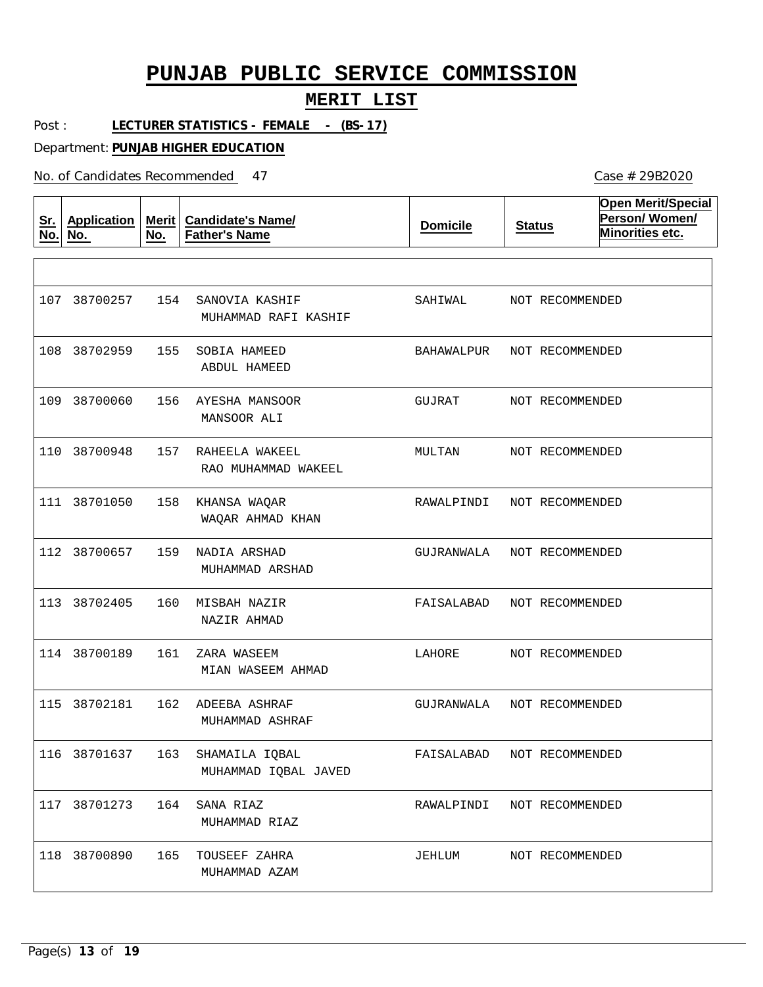#### **MERIT LIST**

Post : **LECTURER STATISTICS - FEMALE - (BS-17)**

Department: **PUNJAB HIGHER EDUCATION**

| <u>Sr.</u><br>No. | Application<br>No. | <b>Merit</b><br>No. | <b>Candidate's Name/</b><br><b>Father's Name</b> | <b>Domicile</b> | <b>Status</b>   | <b>Open Merit/Special</b><br>Person/Women/<br>Minorities etc. |
|-------------------|--------------------|---------------------|--------------------------------------------------|-----------------|-----------------|---------------------------------------------------------------|
|                   |                    |                     |                                                  |                 |                 |                                                               |
|                   | 107 38700257       | 154                 | SANOVIA KASHIF<br>MUHAMMAD RAFI KASHIF           | SAHIWAL         | NOT RECOMMENDED |                                                               |
| 108               | 38702959           | 155                 | SOBIA HAMEED<br>ABDUL HAMEED                     | BAHAWALPUR      | NOT RECOMMENDED |                                                               |
|                   | 109 38700060       | 156                 | AYESHA MANSOOR<br>MANSOOR ALI                    | GUJRAT          | NOT RECOMMENDED |                                                               |
| 110               | 38700948           | 157                 | RAHEELA WAKEEL<br>RAO MUHAMMAD WAKEEL            | MULTAN          | NOT RECOMMENDED |                                                               |
|                   | 111 38701050       | 158                 | KHANSA WAQAR<br>WAQAR AHMAD KHAN                 | RAWALPINDI      | NOT RECOMMENDED |                                                               |
|                   | 112 38700657       | 159                 | NADIA ARSHAD<br>MUHAMMAD ARSHAD                  | GUJRANWALA      | NOT RECOMMENDED |                                                               |
|                   | 113 38702405       | 160                 | MISBAH NAZIR<br>NAZIR AHMAD                      | FAISALABAD      | NOT RECOMMENDED |                                                               |
|                   | 114 38700189       | 161                 | ZARA WASEEM<br>MIAN WASEEM AHMAD                 | LAHORE          | NOT RECOMMENDED |                                                               |
|                   | 115 38702181       | 162                 | ADEEBA ASHRAF<br>MUHAMMAD ASHRAF                 | GUJRANWALA      | NOT RECOMMENDED |                                                               |
|                   | 116 38701637       | 163                 | SHAMAILA IQBAL<br>MUHAMMAD IQBAL JAVED           | FAISALABAD      | NOT RECOMMENDED |                                                               |
|                   | 117 38701273       | 164                 | SANA RIAZ<br>MUHAMMAD RIAZ                       | RAWALPINDI      | NOT RECOMMENDED |                                                               |
|                   | 118 38700890       | 165                 | TOUSEEF ZAHRA<br>MUHAMMAD AZAM                   | JEHLUM          | NOT RECOMMENDED |                                                               |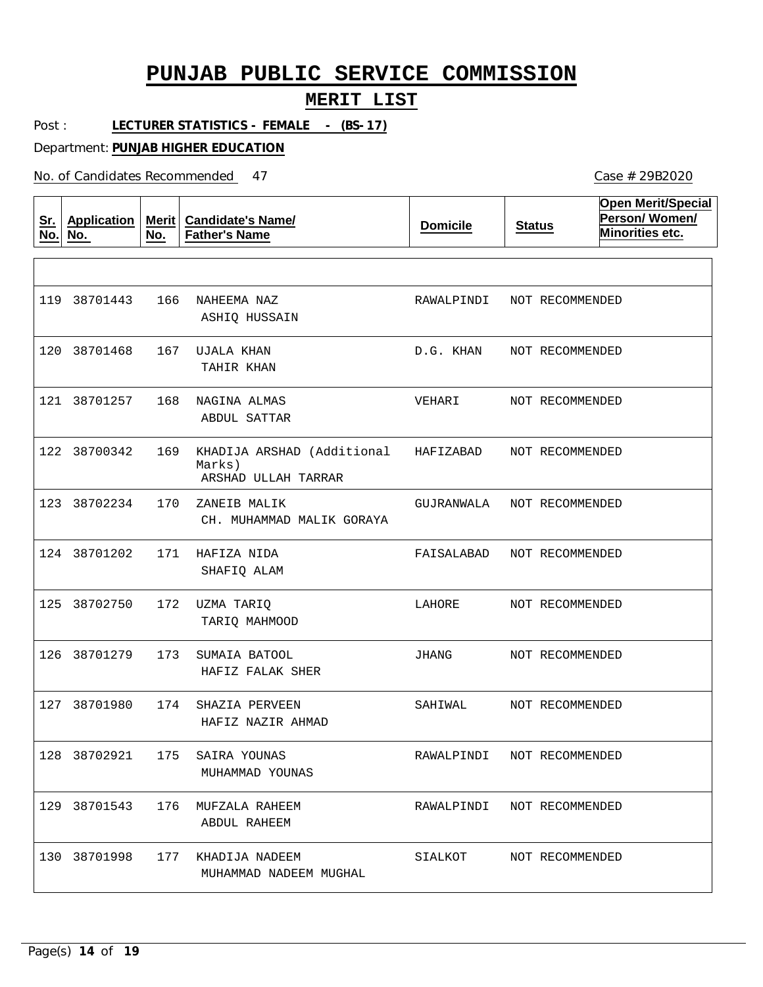#### **MERIT LIST**

Post : **LECTURER STATISTICS - FEMALE - (BS-17)**

Department: **PUNJAB HIGHER EDUCATION**

No. of Candidates Recommended

| <u>Sr.</u><br>No. | <b>Application</b><br>No. | <b>Merit</b><br>No. | <b>Candidate's Name/</b><br><b>Father's Name</b>            | <b>Domicile</b> | <b>Status</b>              | <b>Open Merit/Special</b><br>Person/Women/<br>Minorities etc. |
|-------------------|---------------------------|---------------------|-------------------------------------------------------------|-----------------|----------------------------|---------------------------------------------------------------|
|                   |                           |                     |                                                             |                 |                            |                                                               |
|                   | 119 38701443              | 166                 | NAHEEMA NAZ<br>ASHIQ HUSSAIN                                | RAWALPINDI      | NOT RECOMMENDED            |                                                               |
| 120               | 38701468                  | 167                 | UJALA KHAN<br>TAHIR KHAN                                    | D.G. KHAN       | NOT RECOMMENDED            |                                                               |
|                   | 121 38701257              | 168                 | NAGINA ALMAS<br><b>ABDUL SATTAR</b>                         | VEHARI          | NOT RECOMMENDED            |                                                               |
|                   | 122 38700342              | 169                 | KHADIJA ARSHAD (Additional<br>Marks)<br>ARSHAD ULLAH TARRAR | HAFIZABAD       | NOT RECOMMENDED            |                                                               |
|                   | 123 38702234              | 170                 | ZANEIB MALIK<br>CH. MUHAMMAD MALIK GORAYA                   | GUJRANWALA      | NOT RECOMMENDED            |                                                               |
|                   | 124 38701202              | 171                 | HAFIZA NIDA<br>SHAFIQ ALAM                                  | FAISALABAD      | NOT RECOMMENDED            |                                                               |
| 125               | 38702750                  | 172                 | UZMA TARIQ<br>TARIQ MAHMOOD                                 | LAHORE          | NOT RECOMMENDED            |                                                               |
|                   | 126 38701279              | 173                 | SUMAIA BATOOL<br>HAFIZ FALAK SHER                           | JHANG           | NOT RECOMMENDED            |                                                               |
|                   | 127 38701980              | 174                 | SHAZIA PERVEEN<br>HAFIZ NAZIR AHMAD                         | SAHIWAL         | NOT RECOMMENDED            |                                                               |
|                   |                           |                     | 128 38702921 175 SAIRA YOUNAS<br>MUHAMMAD YOUNAS            |                 | RAWALPINDI NOT RECOMMENDED |                                                               |
|                   | 129 38701543              | 176                 | MUFZALA RAHEEM<br>ABDUL RAHEEM                              | RAWALPINDI      | NOT RECOMMENDED            |                                                               |
|                   | 130 38701998              | 177                 | KHADIJA NADEEM<br>MUHAMMAD NADEEM MUGHAL                    | SIALKOT         | NOT RECOMMENDED            |                                                               |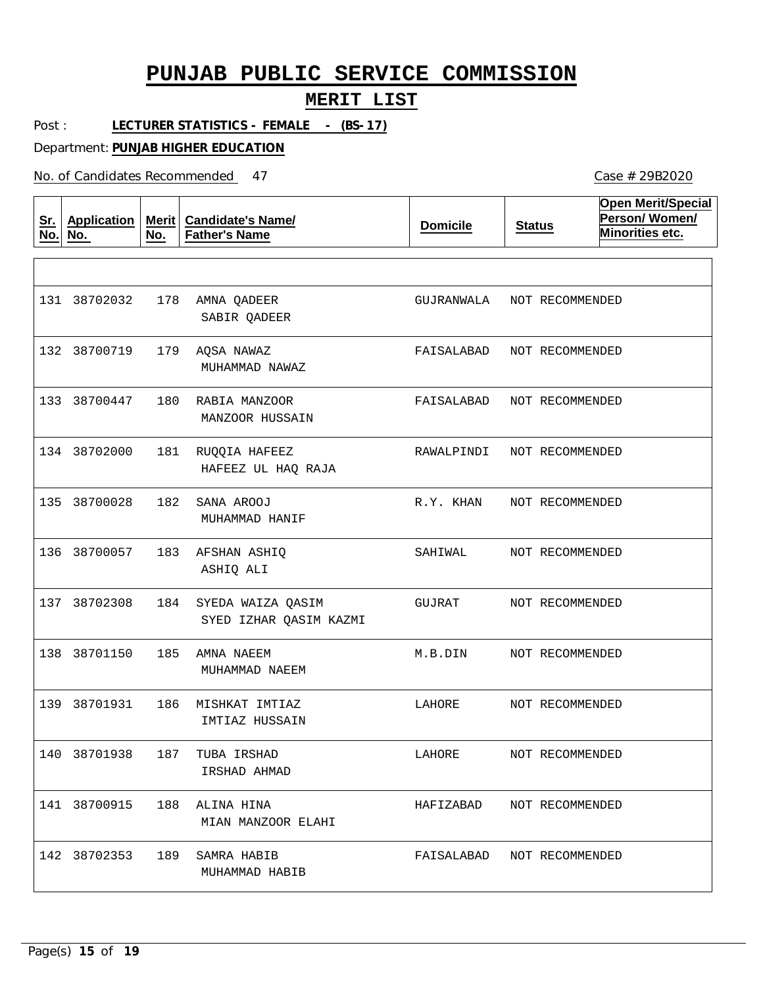#### **MERIT LIST**

Post : **LECTURER STATISTICS - FEMALE - (BS-17)**

Department: **PUNJAB HIGHER EDUCATION**

| <u>Sr.</u><br>No. | <b>Application</b><br>No. | No. | Merit   Candidate's Name/<br><b>Father's Name</b> | <b>Domicile</b> | <b>Status</b>   | <b>Open Merit/Special</b><br>Person/Women/<br>Minorities etc. |
|-------------------|---------------------------|-----|---------------------------------------------------|-----------------|-----------------|---------------------------------------------------------------|
|                   |                           |     |                                                   |                 |                 |                                                               |
|                   | 131 38702032              | 178 | AMNA QADEER<br>SABIR QADEER                       | GUJRANWALA      | NOT RECOMMENDED |                                                               |
|                   | 132 38700719              | 179 | AQSA NAWAZ<br>MUHAMMAD NAWAZ                      | FAISALABAD      | NOT RECOMMENDED |                                                               |
|                   | 133 38700447              | 180 | RABIA MANZOOR<br>MANZOOR HUSSAIN                  | FAISALABAD      | NOT RECOMMENDED |                                                               |
|                   | 134 38702000              | 181 | RUQQIA HAFEEZ<br>HAFEEZ UL HAQ RAJA               | RAWALPINDI      | NOT RECOMMENDED |                                                               |
|                   | 135 38700028              | 182 | SANA AROOJ<br>MUHAMMAD HANIF                      | R.Y. KHAN       | NOT RECOMMENDED |                                                               |
|                   | 136 38700057              | 183 | AFSHAN ASHIQ<br>ASHIQ ALI                         | SAHIWAL         | NOT RECOMMENDED |                                                               |
|                   | 137 38702308              | 184 | SYEDA WAIZA QASIM<br>SYED IZHAR QASIM KAZMI       | GUJRAT          | NOT RECOMMENDED |                                                               |
|                   | 138 38701150              | 185 | AMNA NAEEM<br>MUHAMMAD NAEEM                      | M.B.DIN         | NOT RECOMMENDED |                                                               |
|                   | 139 38701931              | 186 | MISHKAT IMTIAZ<br>IMTIAZ HUSSAIN                  | LAHORE          | NOT RECOMMENDED |                                                               |
|                   | 140 38701938              | 187 | TUBA IRSHAD<br>IRSHAD AHMAD                       | LAHORE          | NOT RECOMMENDED |                                                               |
|                   | 141 38700915              | 188 | ALINA HINA<br>MIAN MANZOOR ELAHI                  | HAFIZABAD       | NOT RECOMMENDED |                                                               |
|                   | 142 38702353 189          |     | SAMRA HABIB<br>MUHAMMAD HABIB                     | FAISALABAD      | NOT RECOMMENDED |                                                               |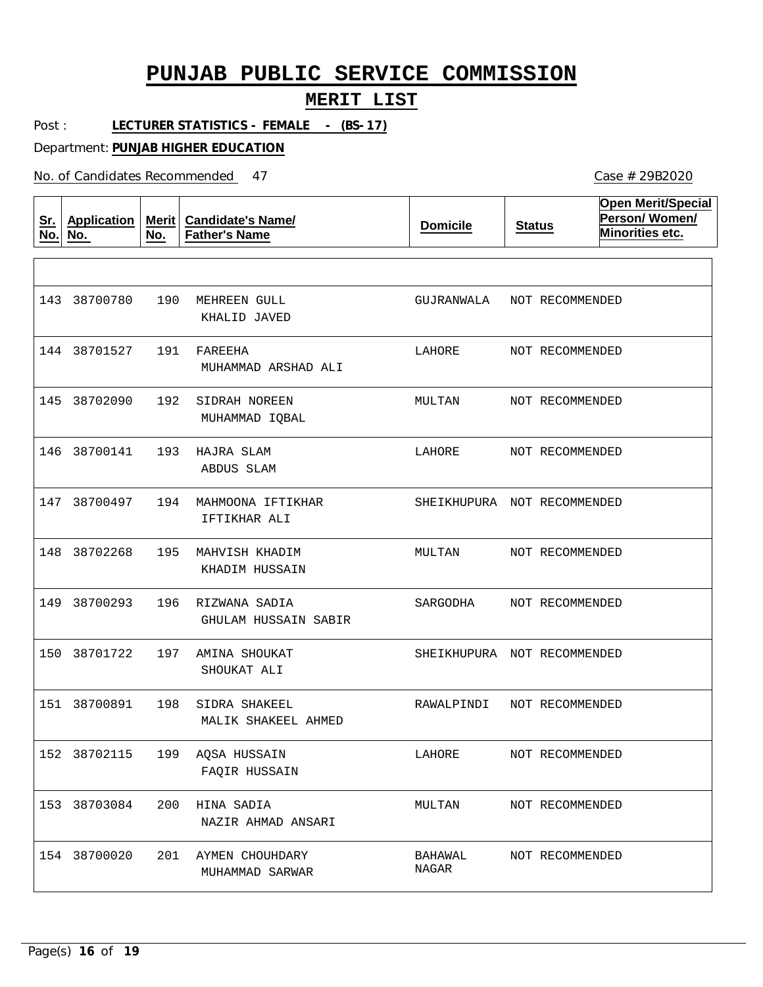#### **MERIT LIST**

Post : **LECTURER STATISTICS - FEMALE - (BS-17)**

Department: **PUNJAB HIGHER EDUCATION**

| <u>Sr.</u><br>No. | <b>Application</b><br>No. | <b>Merit</b><br>No. | <b>Candidate's Name/</b><br><b>Father's Name</b> | <b>Domicile</b>             | <b>Status</b>   | <b>Open Merit/Special</b><br>Person/Women/<br>Minorities etc. |
|-------------------|---------------------------|---------------------|--------------------------------------------------|-----------------------------|-----------------|---------------------------------------------------------------|
|                   |                           |                     |                                                  |                             |                 |                                                               |
|                   | 143 38700780              | 190                 | MEHREEN GULL<br>KHALID JAVED                     | GUJRANWALA                  | NOT RECOMMENDED |                                                               |
|                   | 144 38701527              | 191                 | FAREEHA<br>MUHAMMAD ARSHAD ALI                   | LAHORE                      | NOT RECOMMENDED |                                                               |
| 145               | 38702090                  | 192                 | SIDRAH NOREEN<br>MUHAMMAD IQBAL                  | $\texttt{MULTAN}$           | NOT RECOMMENDED |                                                               |
|                   | 146 38700141              | 193                 | HAJRA SLAM<br>ABDUS SLAM                         | LAHORE                      | NOT RECOMMENDED |                                                               |
|                   | 147 38700497              | 194                 | MAHMOONA IFTIKHAR<br>IFTIKHAR ALI                | SHEIKHUPURA NOT RECOMMENDED |                 |                                                               |
| 148               | 38702268                  | 195                 | MAHVISH KHADIM<br>KHADIM HUSSAIN                 | MULTAN                      | NOT RECOMMENDED |                                                               |
| 149               | 38700293                  | 196                 | RIZWANA SADIA<br>GHULAM HUSSAIN SABIR            | SARGODHA                    | NOT RECOMMENDED |                                                               |
| 150               | 38701722                  | 197                 | AMINA SHOUKAT<br>SHOUKAT ALI                     | SHEIKHUPURA NOT RECOMMENDED |                 |                                                               |
|                   | 151 38700891              | 198                 | SIDRA SHAKEEL<br>MALIK SHAKEEL AHMED             | RAWALPINDI                  | NOT RECOMMENDED |                                                               |
|                   | 152 38702115              |                     | 199 AQSA HUSSAIN<br>FAQIR HUSSAIN                | LAHORE                      | NOT RECOMMENDED |                                                               |
|                   | 153 38703084              | 200                 | HINA SADIA<br>NAZIR AHMAD ANSARI                 | MULTAN                      | NOT RECOMMENDED |                                                               |
|                   | 154 38700020              | 201                 | AYMEN CHOUHDARY<br>MUHAMMAD SARWAR               | BAHAWAL<br>$\rm NAGAR$      | NOT RECOMMENDED |                                                               |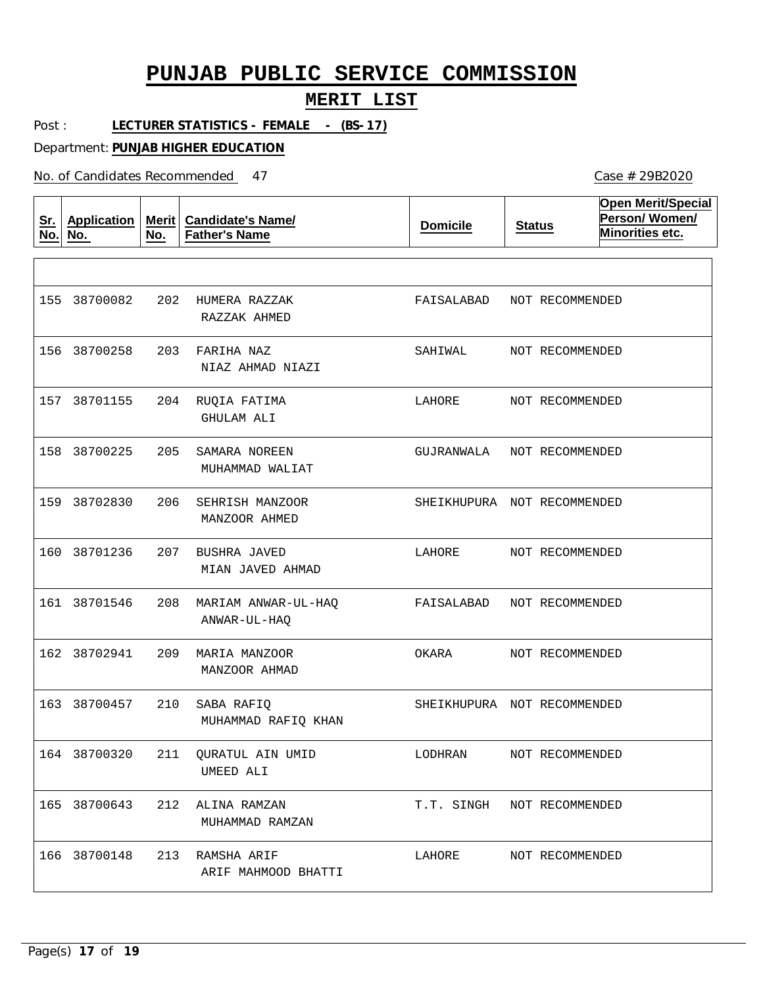#### **MERIT LIST**

Post : **LECTURER STATISTICS - FEMALE - (BS-17)**

Department: **PUNJAB HIGHER EDUCATION**

| <u>Sr.</u><br>No. | <b>Application</b><br>No. | No. | Merit   Candidate's Name/<br><b>Father's Name</b> | <b>Domicile</b> | <b>Status</b>               | <b>Open Merit/Special</b><br>Person/Women/<br>Minorities etc. |
|-------------------|---------------------------|-----|---------------------------------------------------|-----------------|-----------------------------|---------------------------------------------------------------|
|                   |                           |     |                                                   |                 |                             |                                                               |
|                   | 155 38700082              | 202 | HUMERA RAZZAK<br>RAZZAK AHMED                     | FAISALABAD      | NOT RECOMMENDED             |                                                               |
| 156               | 38700258                  | 203 | FARIHA NAZ<br>NIAZ AHMAD NIAZI                    | SAHIWAL         | NOT RECOMMENDED             |                                                               |
|                   | 157 38701155              | 204 | RUQIA FATIMA<br>GHULAM ALI                        | LAHORE          | NOT RECOMMENDED             |                                                               |
|                   | 158 38700225              | 205 | SAMARA NOREEN<br>MUHAMMAD WALIAT                  | GUJRANWALA      | NOT RECOMMENDED             |                                                               |
|                   | 159 38702830              | 206 | SEHRISH MANZOOR<br>MANZOOR AHMED                  |                 | SHEIKHUPURA NOT RECOMMENDED |                                                               |
| 160               | 38701236                  | 207 | BUSHRA JAVED<br>MIAN JAVED AHMAD                  | LAHORE          | NOT RECOMMENDED             |                                                               |
|                   | 161 38701546              | 208 | MARIAM ANWAR-UL-HAQ<br>ANWAR-UL-HAQ               | FAISALABAD      | NOT RECOMMENDED             |                                                               |
|                   | 162 38702941              | 209 | MARIA MANZOOR<br>MANZOOR AHMAD                    | OKARA           | NOT RECOMMENDED             |                                                               |
|                   | 163 38700457              | 210 | SABA RAFIQ<br>MUHAMMAD RAFIQ KHAN                 |                 | SHEIKHUPURA NOT RECOMMENDED |                                                               |
|                   | 164 38700320              |     | 211 QURATUL AIN UMID<br>UMEED ALI                 | LODHRAN         | NOT RECOMMENDED             |                                                               |
|                   | 165 38700643              | 212 | ALINA RAMZAN<br>MUHAMMAD RAMZAN                   | T.T. SINGH      | NOT RECOMMENDED             |                                                               |
|                   | 166 38700148              | 213 | RAMSHA ARIF<br>ARIF MAHMOOD BHATTI                | LAHORE          | NOT RECOMMENDED             |                                                               |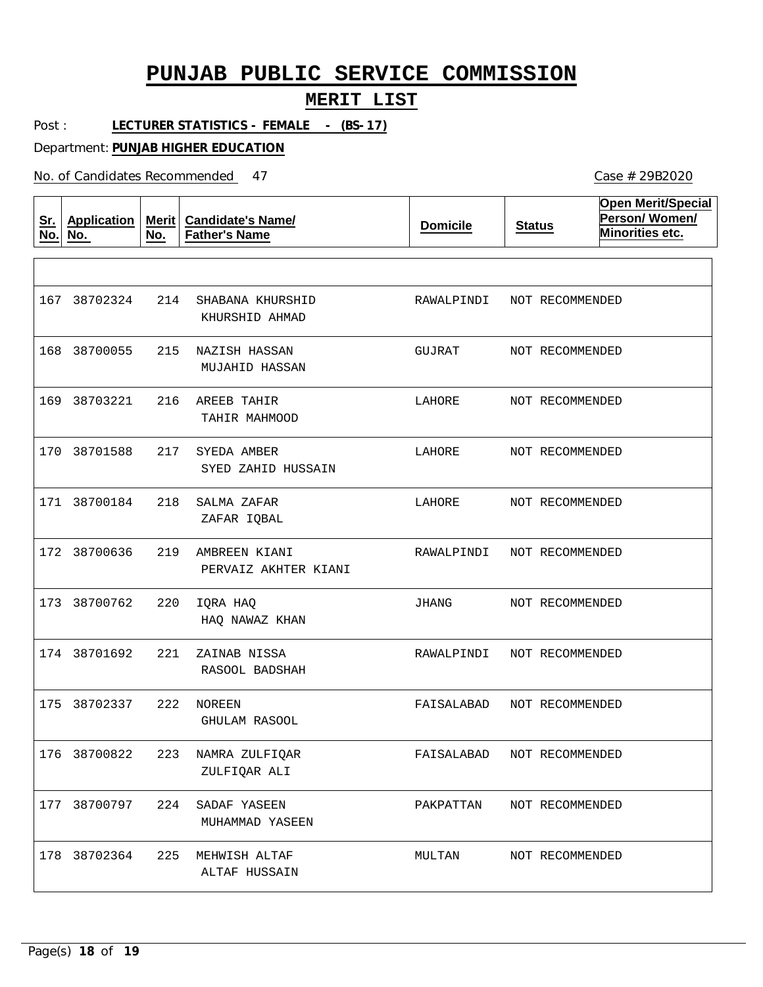#### **MERIT LIST**

Post : **LECTURER STATISTICS - FEMALE - (BS-17)**

Department: **PUNJAB HIGHER EDUCATION**

| <u>Sr.</u><br>No. | Application<br>No. | Merit $ $<br>No. | <b>Candidate's Name/</b><br><b>Father's Name</b> | <b>Domicile</b> | <b>Status</b>   | <b>Open Merit/Special</b><br>Person/Women/<br>Minorities etc. |
|-------------------|--------------------|------------------|--------------------------------------------------|-----------------|-----------------|---------------------------------------------------------------|
|                   |                    |                  |                                                  |                 |                 |                                                               |
|                   | 167 38702324       | 214              | SHABANA KHURSHID<br>KHURSHID AHMAD               | RAWALPINDI      | NOT RECOMMENDED |                                                               |
|                   | 168 38700055       | 215              | NAZISH HASSAN<br>MUJAHID HASSAN                  | GUJRAT          | NOT RECOMMENDED |                                                               |
|                   | 169 38703221       | 216              | AREEB TAHIR<br>TAHIR MAHMOOD                     | LAHORE          | NOT RECOMMENDED |                                                               |
|                   | 170 38701588       | 217              | SYEDA AMBER<br>SYED ZAHID HUSSAIN                | LAHORE          | NOT RECOMMENDED |                                                               |
|                   | 171 38700184       | 218              | SALMA ZAFAR<br>ZAFAR IQBAL                       | LAHORE          | NOT RECOMMENDED |                                                               |
|                   | 172 38700636       | 219              | AMBREEN KIANI<br>PERVAIZ AKHTER KIANI            | RAWALPINDI      | NOT RECOMMENDED |                                                               |
|                   | 173 38700762       | 220              | IQRA HAQ<br>HAQ NAWAZ KHAN                       | JHANG           | NOT RECOMMENDED |                                                               |
|                   | 174 38701692       | 221              | ZAINAB NISSA<br>RASOOL BADSHAH                   | RAWALPINDI      | NOT RECOMMENDED |                                                               |
|                   | 175 38702337       | 222              | <b>NOREEN</b><br>GHULAM RASOOL                   | FAISALABAD      | NOT RECOMMENDED |                                                               |
|                   | 176 38700822       |                  | 223 NAMRA ZULFIQAR<br>ZULFIQAR ALI               | FAISALABAD      | NOT RECOMMENDED |                                                               |
|                   | 177 38700797       | 224              | SADAF YASEEN<br>MUHAMMAD YASEEN                  | PAKPATTAN       | NOT RECOMMENDED |                                                               |
|                   | 178 38702364       | 225              | MEHWISH ALTAF<br>ALTAF HUSSAIN                   | MULTAN          | NOT RECOMMENDED |                                                               |